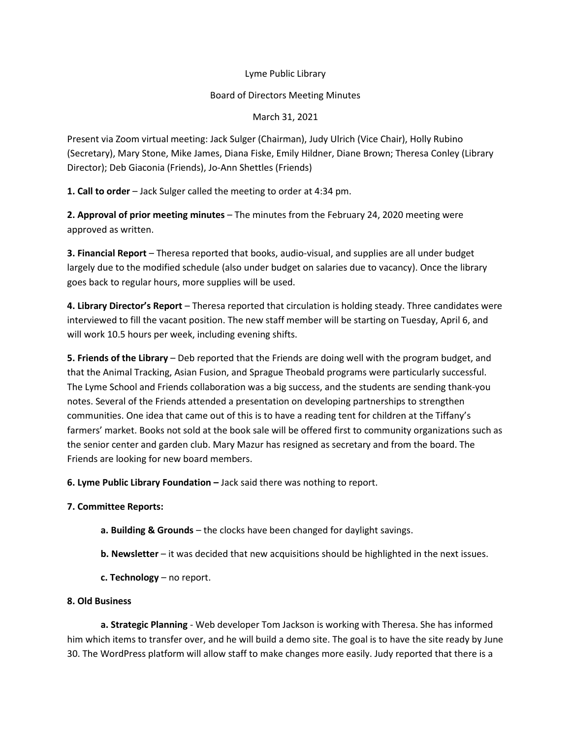## Lyme Public Library

## Board of Directors Meeting Minutes

March 31, 2021

Present via Zoom virtual meeting: Jack Sulger (Chairman), Judy Ulrich (Vice Chair), Holly Rubino (Secretary), Mary Stone, Mike James, Diana Fiske, Emily Hildner, Diane Brown; Theresa Conley (Library Director); Deb Giaconia (Friends), Jo-Ann Shettles (Friends)

**1. Call to order** – Jack Sulger called the meeting to order at 4:34 pm.

**2. Approval of prior meeting minutes** – The minutes from the February 24, 2020 meeting were approved as written.

**3. Financial Report** – Theresa reported that books, audio-visual, and supplies are all under budget largely due to the modified schedule (also under budget on salaries due to vacancy). Once the library goes back to regular hours, more supplies will be used.

**4. Library Director's Report** – Theresa reported that circulation is holding steady. Three candidates were interviewed to fill the vacant position. The new staff member will be starting on Tuesday, April 6, and will work 10.5 hours per week, including evening shifts.

**5. Friends of the Library** – Deb reported that the Friends are doing well with the program budget, and that the Animal Tracking, Asian Fusion, and Sprague Theobald programs were particularly successful. The Lyme School and Friends collaboration was a big success, and the students are sending thank-you notes. Several of the Friends attended a presentation on developing partnerships to strengthen communities. One idea that came out of this is to have a reading tent for children at the Tiffany's farmers' market. Books not sold at the book sale will be offered first to community organizations such as the senior center and garden club. Mary Mazur has resigned as secretary and from the board. The Friends are looking for new board members.

**6. Lyme Public Library Foundation –** Jack said there was nothing to report.

## **7. Committee Reports:**

- **a. Building & Grounds** the clocks have been changed for daylight savings.
- **b. Newsletter** it was decided that new acquisitions should be highlighted in the next issues.
- **c. Technology** no report.

## **8. Old Business**

**a. Strategic Planning** - Web developer Tom Jackson is working with Theresa. She has informed him which items to transfer over, and he will build a demo site. The goal is to have the site ready by June 30. The WordPress platform will allow staff to make changes more easily. Judy reported that there is a